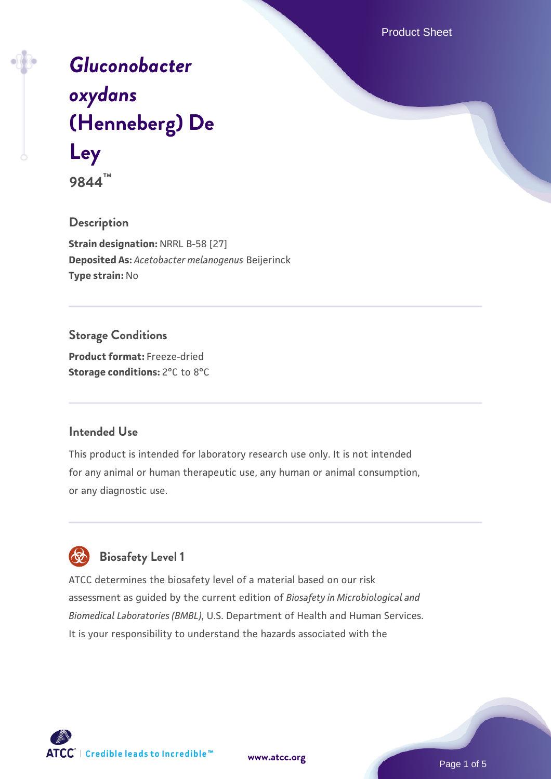Product Sheet

# *[Gluconobacter](https://www.atcc.org/products/9844) [oxydans](https://www.atcc.org/products/9844)* **[\(Henneberg\) De](https://www.atcc.org/products/9844) [Ley](https://www.atcc.org/products/9844)**

**9844™**

# **Description**

**Strain designation:** NRRL B-58 [27] **Deposited As:** *Acetobacter melanogenus* Beijerinck **Type strain:** No

# **Storage Conditions**

**Product format:** Freeze-dried **Storage conditions:** 2°C to 8°C

## **Intended Use**

This product is intended for laboratory research use only. It is not intended for any animal or human therapeutic use, any human or animal consumption, or any diagnostic use.



# **Biosafety Level 1**

ATCC determines the biosafety level of a material based on our risk assessment as guided by the current edition of *Biosafety in Microbiological and Biomedical Laboratories (BMBL)*, U.S. Department of Health and Human Services. It is your responsibility to understand the hazards associated with the

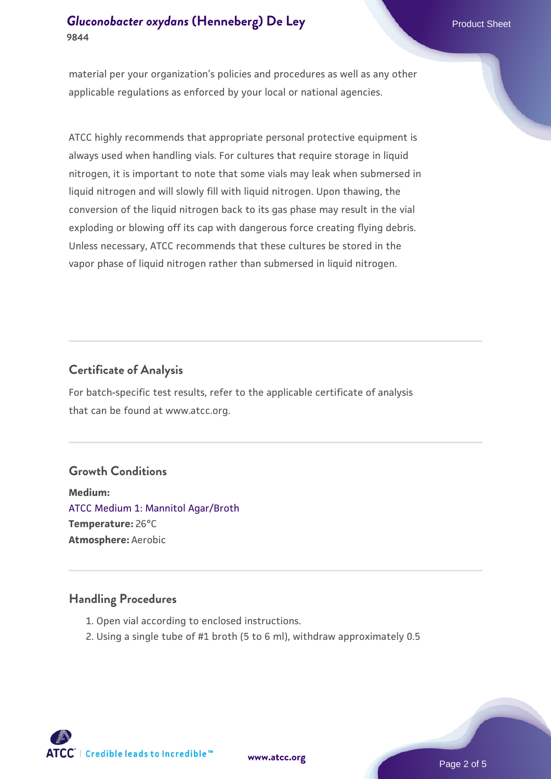# **[Gluconobacter oxydans](https://www.atcc.org/products/9844) [\(Henneberg\) De Ley](https://www.atcc.org/products/9844)** Product Sheet **9844**

material per your organization's policies and procedures as well as any other applicable regulations as enforced by your local or national agencies.

ATCC highly recommends that appropriate personal protective equipment is always used when handling vials. For cultures that require storage in liquid nitrogen, it is important to note that some vials may leak when submersed in liquid nitrogen and will slowly fill with liquid nitrogen. Upon thawing, the conversion of the liquid nitrogen back to its gas phase may result in the vial exploding or blowing off its cap with dangerous force creating flying debris. Unless necessary, ATCC recommends that these cultures be stored in the vapor phase of liquid nitrogen rather than submersed in liquid nitrogen.

# **Certificate of Analysis**

For batch-specific test results, refer to the applicable certificate of analysis that can be found at www.atcc.org.

## **Growth Conditions**

**Medium:**  [ATCC Medium 1: Mannitol Agar/Broth](https://www.atcc.org/-/media/product-assets/documents/microbial-media-formulations/1/atcc-medium-0001.pdf?rev=6bc3536c00fe41a8a6b90fdab54f0a97) **Temperature:** 26°C **Atmosphere:** Aerobic

## **Handling Procedures**

- 1. Open vial according to enclosed instructions.
- 2. Using a single tube of #1 broth (5 to 6 ml), withdraw approximately 0.5

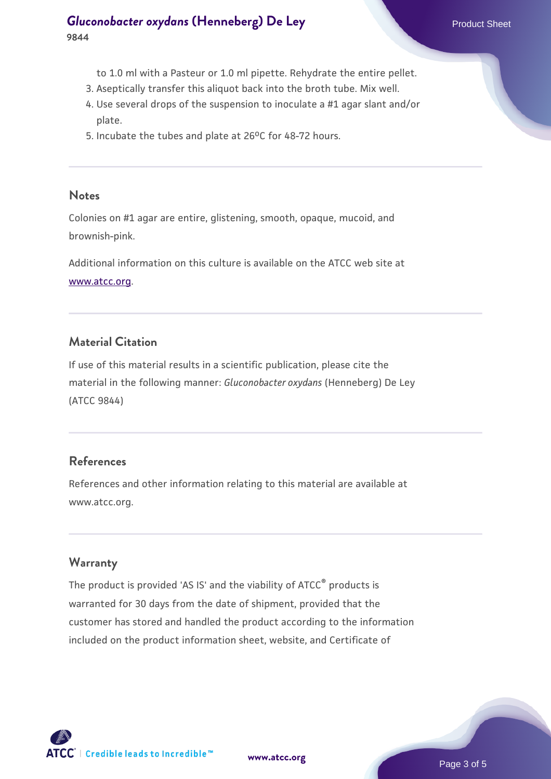# **[Gluconobacter oxydans](https://www.atcc.org/products/9844) [\(Henneberg\) De Ley](https://www.atcc.org/products/9844)** Product Sheet **9844**

- to 1.0 ml with a Pasteur or 1.0 ml pipette. Rehydrate the entire pellet.
- 3. Aseptically transfer this aliquot back into the broth tube. Mix well.
- Use several drops of the suspension to inoculate a #1 agar slant and/or 4. plate.
- 5. Incubate the tubes and plate at  $26^{\circ}$ C for 48-72 hours.

#### **Notes**

Colonies on #1 agar are entire, glistening, smooth, opaque, mucoid, and brownish-pink.

Additional information on this culture is available on the ATCC web site at [www.atcc.org.](http://www.atcc.org/)

# **Material Citation**

If use of this material results in a scientific publication, please cite the material in the following manner: *Gluconobacter oxydans* (Henneberg) De Ley (ATCC 9844)

# **References**

References and other information relating to this material are available at www.atcc.org.

# **Warranty**

The product is provided 'AS IS' and the viability of ATCC<sup>®</sup> products is warranted for 30 days from the date of shipment, provided that the customer has stored and handled the product according to the information included on the product information sheet, website, and Certificate of

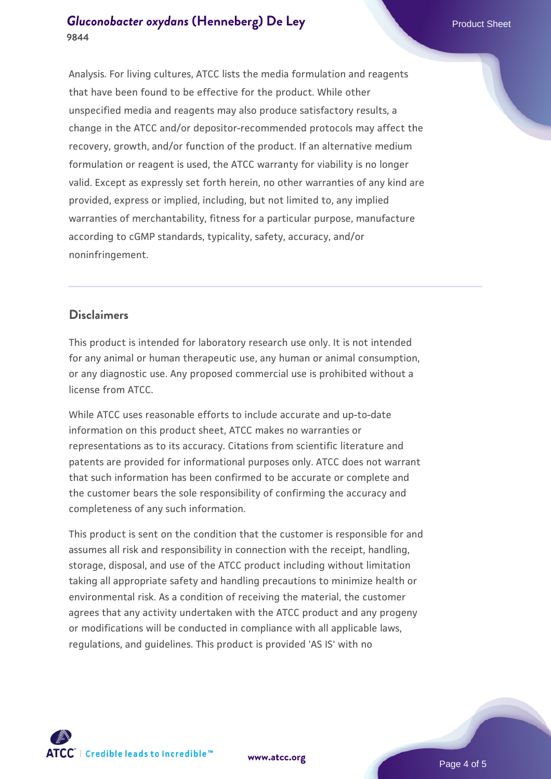# **[Gluconobacter oxydans](https://www.atcc.org/products/9844) [\(Henneberg\) De Ley](https://www.atcc.org/products/9844)** Product Sheet **9844**

Analysis. For living cultures, ATCC lists the media formulation and reagents that have been found to be effective for the product. While other unspecified media and reagents may also produce satisfactory results, a change in the ATCC and/or depositor-recommended protocols may affect the recovery, growth, and/or function of the product. If an alternative medium formulation or reagent is used, the ATCC warranty for viability is no longer valid. Except as expressly set forth herein, no other warranties of any kind are provided, express or implied, including, but not limited to, any implied warranties of merchantability, fitness for a particular purpose, manufacture according to cGMP standards, typicality, safety, accuracy, and/or noninfringement.

# **Disclaimers**

This product is intended for laboratory research use only. It is not intended for any animal or human therapeutic use, any human or animal consumption, or any diagnostic use. Any proposed commercial use is prohibited without a license from ATCC.

While ATCC uses reasonable efforts to include accurate and up-to-date information on this product sheet, ATCC makes no warranties or representations as to its accuracy. Citations from scientific literature and patents are provided for informational purposes only. ATCC does not warrant that such information has been confirmed to be accurate or complete and the customer bears the sole responsibility of confirming the accuracy and completeness of any such information.

This product is sent on the condition that the customer is responsible for and assumes all risk and responsibility in connection with the receipt, handling, storage, disposal, and use of the ATCC product including without limitation taking all appropriate safety and handling precautions to minimize health or environmental risk. As a condition of receiving the material, the customer agrees that any activity undertaken with the ATCC product and any progeny or modifications will be conducted in compliance with all applicable laws, regulations, and guidelines. This product is provided 'AS IS' with no